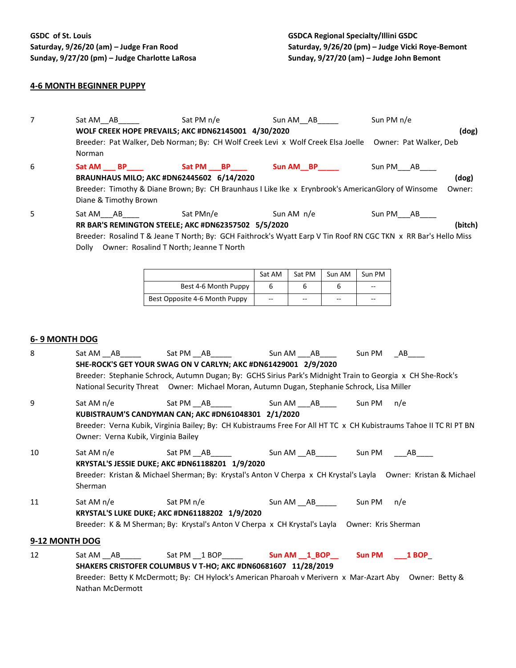## **4-6 MONTH BEGINNER PUPPY**

7 Sat AM\_AB Sat PM n/e Sun AM\_AB Sun PM n/e **WOLF CREEK HOPE PREVAILS; AKC #DN62145001 4/30/2020 (dog)** Breeder: Pat Walker, Deb Norman; By: CH Wolf Creek Levi x Wolf Creek Elsa Joelle Owner: Pat Walker, Deb Norman 6 **Sat AM \_\_\_ BP\_\_\_\_ Sat PM \_\_\_BP\_\_\_\_ Sun AM\_\_BP\_\_\_\_\_** Sun PM\_\_\_AB\_\_\_\_ **BRAUNHAUS MILO; AKC #DN62445602 6/14/2020 (dog)** Breeder: Timothy & Diane Brown; By: CH Braunhaus I Like Ike x Erynbrook's AmericanGlory of Winsome Owner: Diane & Timothy Brown 5 Sat AM\_\_\_AB Sat PMn/e Sun AM n/e Sun PM\_\_\_AB **RR BAR'S REMINGTON STEELE; AKC #DN62357502 5/5/2020 (bitch)** Breeder: Rosalind T & Jeane T North; By: GCH Faithrock's Wyatt Earp V Tin Roof RN CGC TKN x RR Bar's Hello Miss Dolly Owner: Rosalind T North; Jeanne T North Sat AM | Sat PM | Sun AM | Sun PM Best 4-6 Month Puppy  $\begin{array}{|c|c|c|c|c|} \hline 6 & 6 & 6 & 6 & -1 & -1 \ \hline \end{array}$ Best Opposite 4-6 Month Puppy  $\begin{vmatrix} -2 & -1 \ -2 & -1 \end{vmatrix}$  --**6- 9 MONTH DOG** 8 Sat AM \_\_AB\_\_\_\_\_ Sat PM \_\_AB\_\_\_\_\_ Sun AM \_\_\_AB\_\_\_\_ Sun PM \_\_\_AB **SHE-ROCK'S GET YOUR SWAG ON V CARLYN; AKC #DN61429001 2/9/2020** Breeder: Stephanie Schrock, Autumn Dugan; By: GCHS Sirius Park's Midnight Train to Georgia x CH She-Rock's National Security Threat Owner: Michael Moran, Autumn Dugan, Stephanie Schrock, Lisa Miller 9 Sat AM n/e Sat PM AB Sun AM AB Sun PM n/e **KUBISTRAUM'S CANDYMAN CAN; AKC #DN61048301 2/1/2020** Breeder: Verna Kubik, Virginia Bailey; By: CH Kubistraums Free For All HT TC x CH Kubistraums Tahoe II TC RI PT BN Owner: Verna Kubik, Virginia Bailey 10 Sat AM n/e Sat PM \_\_AB\_\_\_\_\_ Sun AM \_\_AB\_\_\_\_\_ Sun PM \_\_\_\_AB\_\_\_ **KRYSTAL'S JESSIE DUKE; AKC #DN61188201 1/9/2020** Breeder: Kristan & Michael Sherman; By: Krystal's Anton V Cherpa x CH Krystal's Layla Owner: Kristan & Michael Sherman 11 Sat AM n/e Sat PM n/e Sat PM n/e Sun AM \_\_AB\_\_\_\_\_\_\_\_\_\_ Sun PM \_\_n/e **KRYSTAL'S LUKE DUKE; AKC #DN61188202 1/9/2020** Breeder: K & M Sherman; By: Krystal's Anton V Cherpa x CH Krystal's Layla Owner: Kris Sherman **9-12 MONTH DOG** 12 Sat AM \_\_AB\_\_\_\_\_ Sat PM \_\_1 BOP\_\_\_\_\_ **Sun AM \_\_1\_BOP\_\_ Sun PM \_\_\_1 BOP**\_ **SHAKERS CRISTOFER COLUMBUS V T-HO; AKC #DN60681607 11/28/2019** Breeder: Betty K McDermott; By: CH Hylock's American Pharoah v Merivern x Mar-Azart Aby Owner: Betty & Nathan McDermott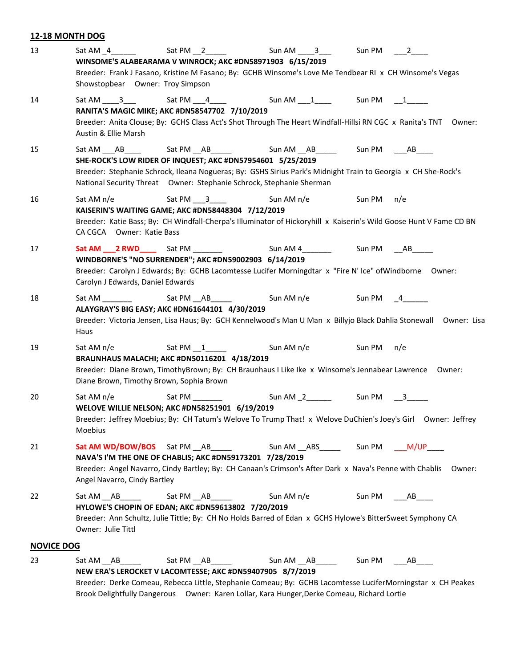## **12-18 MONTH DOG**

| 13                |                                                                                                                                                                                                                                                                                               |                       | Sun AM _____3_____   Sun PM ____2_____ |        |        |
|-------------------|-----------------------------------------------------------------------------------------------------------------------------------------------------------------------------------------------------------------------------------------------------------------------------------------------|-----------------------|----------------------------------------|--------|--------|
|                   | WINSOME'S ALABEARAMA V WINROCK; AKC #DN58971903 6/15/2019<br>Breeder: Frank J Fasano, Kristine M Fasano; By: GCHB Winsome's Love Me Tendbear RI x CH Winsome's Vegas                                                                                                                          |                       |                                        |        |        |
|                   | Showstopbear Owner: Troy Simpson                                                                                                                                                                                                                                                              |                       |                                        |        |        |
| 14                | Sat AM _____3____    Sat PM ____4______      Sun AM ____1______   Sun PM   ___1______<br>RANITA'S MAGIC MIKE; AKC #DN58547702 7/10/2019                                                                                                                                                       |                       |                                        |        |        |
|                   | Breeder: Anita Clouse; By: GCHS Class Act's Shot Through The Heart Windfall-Hillsi RN CGC x Ranita's TNT Owner:<br>Austin & Ellie Marsh                                                                                                                                                       |                       |                                        |        |        |
| 15                | Sat AM ____AB______   Sat PM ___AB________    Sun AM ___AB_______  Sun PM   ____AB<br>SHE-ROCK'S LOW RIDER OF INQUEST; AKC #DN57954601 5/25/2019<br>Breeder: Stephanie Schrock, Ileana Nogueras; By: GSHS Sirius Park's Midnight Train to Georgia x CH She-Rock's                             |                       |                                        |        |        |
| 16                | National Security Threat Owner: Stephanie Schrock, Stephanie Sherman<br>Sat AM $n/e$<br>KAISERIN'S WAITING GAME; AKC #DN58448304 7/12/2019<br>Breeder: Katie Bass; By: CH Windfall-Cherpa's Illuminator of Hickoryhill x Kaiserin's Wild Goose Hunt V Fame CD BN<br>CA CGCA Owner: Katie Bass | Sat PM 3              | Sun AM n/e Sun PM                      |        | n/e    |
| 17                | WINDBORNE'S "NO SURRENDER"; AKC #DN59002903 6/14/2019<br>Breeder: Carolyn J Edwards; By: GCHB Lacomtesse Lucifer Morningdtar x "Fire N' Ice" of Windborne Owner:<br>Carolyn J Edwards, Daniel Edwards                                                                                         |                       |                                        |        |        |
| 18                | Sat AM<br>ALAYGRAY'S BIG EASY; AKC #DN61644101 4/30/2019<br>Breeder: Victoria Jensen, Lisa Haus; By: GCH Kennelwood's Man U Man x Billyjo Black Dahlia Stonewall Owner: Lisa<br>Haus                                                                                                          | Sat PM ___ AB _______ | Sun AM n/e Sun PM 4                    |        |        |
| 19                | Sat AM n/e<br>BRAUNHAUS MALACHI; AKC #DN50116201 4/18/2019<br>Breeder: Diane Brown, TimothyBrown; By: CH Braunhaus I Like Ike x Winsome's Jennabear Lawrence Owner:<br>Diane Brown, Timothy Brown, Sophia Brown                                                                               | Sat PM 1              | Sun AM n/e Sun PM n/e                  |        |        |
| 20                | Sat AM n/e<br>WELOVE WILLIE NELSON; AKC #DN58251901 6/19/2019<br>Breeder: Jeffrey Moebius; By: CH Tatum's Welove To Trump That! x Welove DuChien's Joey's Girl Owner: Jeffrey<br>Moebius                                                                                                      | Sat PM                |                                        |        |        |
| 21                | Sat AM WD/BOW/BOS Sat PM AB<br>NAVA'S I'M THE ONE OF CHABLIS; AKC #DN59173201 7/28/2019<br>Breeder: Angel Navarro, Cindy Bartley; By: CH Canaan's Crimson's After Dark x Nava's Penne with Chablis<br>Angel Navarro, Cindy Bartley                                                            |                       | Sun AM ABS Sun PM M/UP                 |        | Owner: |
| 22                | Sat AM AB<br>HYLOWE'S CHOPIN OF EDAN; AKC #DN59613802 7/20/2019<br>Breeder: Ann Schultz, Julie Tittle; By: CH No Holds Barred of Edan x GCHS Hylowe's BitterSweet Symphony CA<br>Owner: Julie Tittl                                                                                           | Sat PM AB             | Sun AM n/e                             | Sun PM | AB     |
| <b>NOVICE DOG</b> |                                                                                                                                                                                                                                                                                               |                       |                                        |        |        |
| 23                | Sat AM AB<br>NEW ERA'S LEROCKET V LACOMTESSE; AKC #DN59407905 8/7/2019<br>Breeder: Derke Comeau, Rebecca Little, Stephanie Comeau; By: GCHB Lacomtesse LuciferMorningstar x CH Peakes<br>Brook Delightfully Dangerous Owner: Karen Lollar, Kara Hunger, Derke Comeau, Richard Lortie          | Sat PM __ AB ______   | Sun AM __ AB_____                      | Sun PM | AB     |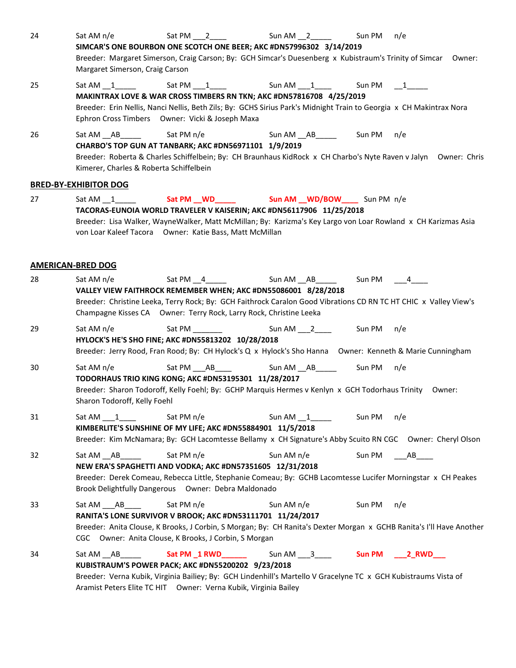| 24 | Sat AM n/e<br>Margaret Simerson, Craig Carson                              | Sat PM $\_\_2$<br>SIMCAR'S ONE BOURBON ONE SCOTCH ONE BEER; AKC #DN57996302 3/14/2019<br>Breeder: Margaret Simerson, Craig Carson; By: GCH Simcar's Duesenberg x Kubistraum's Trinity of Simcar Owner:                                                                                       | Sun AM 2                                | Sun PM                   | n/e |
|----|----------------------------------------------------------------------------|----------------------------------------------------------------------------------------------------------------------------------------------------------------------------------------------------------------------------------------------------------------------------------------------|-----------------------------------------|--------------------------|-----|
| 25 |                                                                            | MAKINTRAX LOVE & WAR CROSS TIMBERS RN TKN; AKC #DN57816708 4/25/2019<br>Breeder: Erin Nellis, Nanci Nellis, Beth Zils; By: GCHS Sirius Park's Midnight Train to Georgia x CH Makintrax Nora<br>Ephron Cross Timbers Owner: Vicki & Joseph Maxa                                               |                                         | Sun PM $\qquad \qquad 1$ |     |
| 26 | Sat AM __ AB _______ Sat PM n/e<br>Kimerer, Charles & Roberta Schiffelbein | CHARBO'S TOP GUN AT TANBARK; AKC #DN56971101 1/9/2019<br>Breeder: Roberta & Charles Schiffelbein; By: CH Braunhaus KidRock x CH Charbo's Nyte Raven v Jalyn Owner: Chris                                                                                                                     | Sun AM __AB______________Sun PM ___ n/e |                          |     |
|    | <b>BRED-BY-EXHIBITOR DOG</b>                                               |                                                                                                                                                                                                                                                                                              |                                         |                          |     |
| 27 |                                                                            | TACORAS-EUNOIA WORLD TRAVELER V KAISERIN; AKC #DN56117906 11/25/2018<br>Breeder: Lisa Walker, WayneWalker, Matt McMillan; By: Karizma's Key Largo von Loar Rowland x CH Karizmas Asia<br>von Loar Kaleef Tacora Owner: Katie Bass, Matt McMillan                                             |                                         |                          |     |
|    | <b>AMERICAN-BRED DOG</b>                                                   |                                                                                                                                                                                                                                                                                              |                                         |                          |     |
| 28 | Sat AM n/e                                                                 | Sat PM 4 5un AM AB 5un PM 4<br>VALLEY VIEW FAITHROCK REMEMBER WHEN; AKC #DN55086001 8/28/2018<br>Breeder: Christine Leeka, Terry Rock; By: GCH Faithrock Caralon Good Vibrations CD RN TC HT CHIC x Valley View's<br>Champagne Kisses CA Owner: Terry Rock, Larry Rock, Christine Leeka      |                                         |                          |     |
| 29 | Sat AM n/e                                                                 | Sat PM ________<br>HYLOCK'S HE'S SHO FINE; AKC #DN55813202 10/28/2018<br>Breeder: Jerry Rood, Fran Rood; By: CH Hylock's Q x Hylock's Sho Hanna Owner: Kenneth & Marie Cunningham                                                                                                            |                                         |                          |     |
| 30 | Sat AM n/e<br>Sharon Todoroff, Kelly Foehl                                 | Sat PM ____ AB ______<br>TODORHAUS TRIO KING KONG; AKC #DN53195301 11/28/2017<br>Breeder: Sharon Todoroff, Kelly Foehl; By: GCHP Marquis Hermes v Kenlyn x GCH Todorhaus Trinity Owner:                                                                                                      | Sun AM __ AB ______ Sun PM              |                          | n/e |
| 31 | Sat AM 1                                                                   | Sat PM n/e<br>KIMBERLITE'S SUNSHINE OF MY LIFE; AKC #DN55884901 11/5/2018<br>Breeder: Kim McNamara; By: GCH Lacomtesse Bellamy x CH Signature's Abby Scuito RN CGC Owner: Cheryl Olson                                                                                                       | Sun AM $1$ $1$                          | Sun PM                   | n/e |
| 32 | $SatAM$ $AB$                                                               | Sat PM n/e<br>NEW ERA'S SPAGHETTI AND VODKA; AKC #DN57351605 12/31/2018<br>Breeder: Derek Comeau, Rebecca Little, Stephanie Comeau; By: GCHB Lacomtesse Lucifer Morningstar x CH Peakes<br>Brook Delightfully Dangerous Owner: Debra Maldonado                                               | Sun AM n/e                              | Sun PM                   | AB  |
| 33 | Sat AM AB                                                                  | Sat PM n/e<br>RANITA'S LONE SURVIVOR V BROOK; AKC #DN53111701 11/24/2017<br>Breeder: Anita Clouse, K Brooks, J Corbin, S Morgan; By: CH Ranita's Dexter Morgan x GCHB Ranita's I'll Have Another<br>CGC Owner: Anita Clouse, K Brooks, J Corbin, S Morgan                                    | Sun AM n/e                              | Sun PM                   | n/e |
| 34 |                                                                            | $Sat AM$ $AB$ $St PM$ $1 RWD$ $3$ $500$ $AM$ $3$<br>KUBISTRAUM'S POWER PACK; AKC #DN55200202 9/23/2018<br>Breeder: Verna Kubik, Virginia Bailiey; By: GCH Lindenhill's Martello V Gracelyne TC x GCH Kubistraums Vista of<br>Aramist Peters Elite TC HIT Owner: Verna Kubik, Virginia Bailey |                                         |                          |     |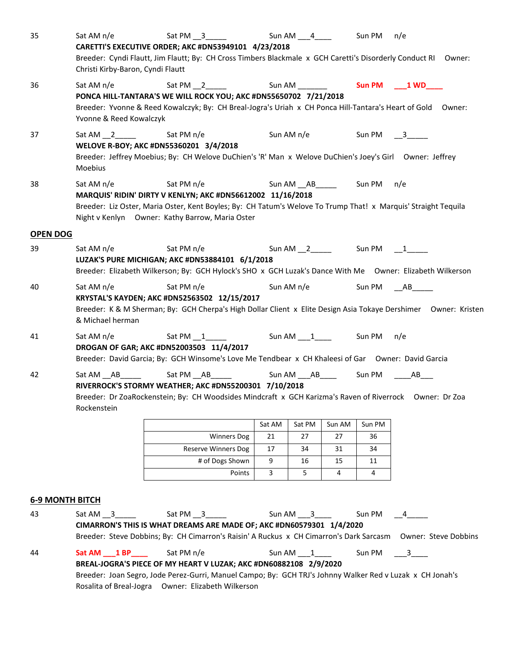| 35                     | Sat AM n/e<br>Christi Kirby-Baron, Cyndi Flautt | Sat PM __3______<br>CARETTI'S EXECUTIVE ORDER; AKC #DN53949101 4/23/2018<br>Breeder: Cyndi Flautt, Jim Flautt; By: CH Cross Timbers Blackmale x GCH Caretti's Disorderly Conduct RI Owner:                                      |        | Sun AM ____4_____ |        | Sun PM | n/e                                   |
|------------------------|-------------------------------------------------|---------------------------------------------------------------------------------------------------------------------------------------------------------------------------------------------------------------------------------|--------|-------------------|--------|--------|---------------------------------------|
| 36                     | Sat AM $n/e$<br>Yvonne & Reed Kowalczyk         | PONCA HILL-TANTARA'S WE WILL ROCK YOU; AKC #DN55650702 7/21/2018<br>Breeder: Yvonne & Reed Kowalczyk; By: CH Breal-Jogra's Uriah x CH Ponca Hill-Tantara's Heart of Gold Owner:                                                 |        |                   |        |        |                                       |
| 37                     | Moebius                                         | WELOVE R-BOY; AKC #DN55360201 3/4/2018<br>Breeder: Jeffrey Moebius; By: CH Welove DuChien's 'R' Man x Welove DuChien's Joey's Girl Owner: Jeffrey                                                                               |        |                   |        |        | Sun AM n/e Sun PM 3                   |
| 38                     | Sat AM n/e                                      | MARQUIS' RIDIN' DIRTY V KENLYN; AKC #DN56612002 11/16/2018<br>Breeder: Liz Oster, Maria Oster, Kent Boyles; By: CH Tatum's Welove To Trump That! x Marquis' Straight Tequila<br>Night v Kenlyn Owner: Kathy Barrow, Maria Oster |        |                   |        |        | n/e                                   |
| <b>OPEN DOG</b>        |                                                 |                                                                                                                                                                                                                                 |        |                   |        |        |                                       |
| 39                     | Sat AM n/e                                      | Sat PM n/e<br>LUZAK'S PURE MICHIGAN; AKC #DN53884101 6/1/2018<br>Breeder: Elizabeth Wilkerson; By: GCH Hylock's SHO x GCH Luzak's Dance With Me Owner: Elizabeth Wilkerson                                                      |        |                   |        |        |                                       |
| 40                     | Sat AM n/e<br>& Michael herman                  | Sat PM n/e<br>KRYSTAL'S KAYDEN; AKC #DN52563502 12/15/2017<br>Breeder: K & M Sherman; By: GCH Cherpa's High Dollar Client x Elite Design Asia Tokaye Dershimer Owner: Kristen                                                   |        |                   |        |        | Sun AM n/e Sun PM AB                  |
| 41                     | Sat AM $n/e$                                    | DROGAN OF GAR; AKC #DN52003503 11/4/2017<br>Breeder: David Garcia; By: GCH Winsome's Love Me Tendbear x CH Khaleesi of Gar  Owner: David Garcia                                                                                 |        |                   |        |        | n/e                                   |
| 42                     | $SatAM$ $AB$<br>Rockenstein                     | RIVERROCK'S STORMY WEATHER; AKC #DN55200301 7/10/2018<br>Breeder: Dr ZoaRockenstein; By: CH Woodsides Mindcraft x GCH Karizma's Raven of Riverrock Owner: Dr Zoa                                                                |        |                   |        |        | Sun AM ___ AB_____ Sun PM _____ AB___ |
|                        |                                                 |                                                                                                                                                                                                                                 | Sat AM | Sat PM            | Sun AM | Sun PM |                                       |
|                        |                                                 | <b>Winners Dog</b>                                                                                                                                                                                                              | 21     | 27                | 27     | 36     |                                       |
|                        |                                                 | <b>Reserve Winners Dog</b>                                                                                                                                                                                                      | 17     | 34                | 31     | 34     |                                       |
|                        |                                                 | # of Dogs Shown                                                                                                                                                                                                                 | 9      | 16                | 15     | 11     |                                       |
|                        |                                                 | Points                                                                                                                                                                                                                          | 3      | 5                 | 4      | 4      |                                       |
| <b>6-9 MONTH BITCH</b> |                                                 |                                                                                                                                                                                                                                 |        |                   |        |        |                                       |
| 43                     | $SatAM_3$                                       | Sat PM $\_\,$ 3<br>CIMARRON'S THIS IS WHAT DREAMS ARE MADE OF; AKC #DN60579301 1/4/2020<br>Breeder: Steve Dobbins; By: CH Cimarron's Raisin' A Ruckus x CH Cimarron's Dark Sarcasm Owner: Steve Dobbins                         |        | Sun AM 3          |        | Sun PM | $\sim$ 4                              |
| 44                     | Sat AM 1 BP                                     | Sat PM n/e                                                                                                                                                                                                                      |        | Sun AM 1          |        | Sun PM | $\overline{\mathbf{3}}$               |
|                        |                                                 | BREAL-JOGRA'S PIECE OF MY HEART V LUZAK; AKC #DN60882108 2/9/2020<br>Breeder: Joan Segro, Jode Perez-Gurri, Manuel Campo; By: GCH TRJ's Johnny Walker Red v Luzak x CH Jonah's                                                  |        |                   |        |        |                                       |

Rosalita of Breal-Jogra Owner: Elizabeth Wilkerson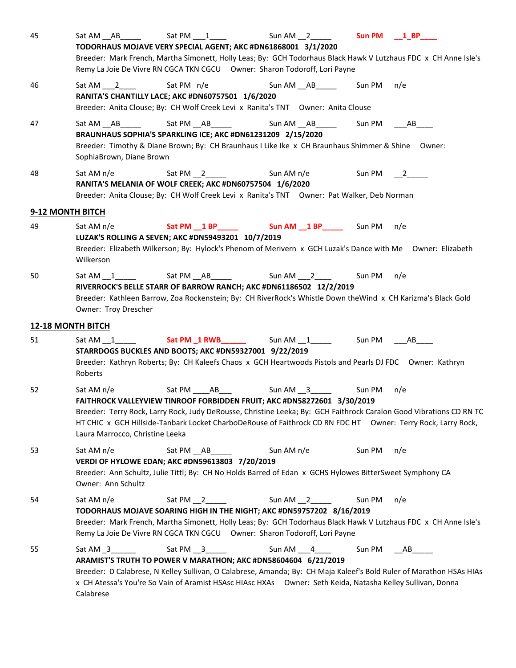| 45 | Sat AM AB                                     | Sat PM 1<br>TODORHAUS MOJAVE VERY SPECIAL AGENT; AKC #DN61868001 3/1/2020<br>Breeder: Mark French, Martha Simonett, Holly Leas; By: GCH Todorhaus Black Hawk V Lutzhaus FDC x CH Anne Isle's<br>Remy La Joie De Vivre RN CGCA TKN CGCU Owner: Sharon Todoroff, Lori Payne                                              | Sun AM 2                                          |        | Sun PM __ 1_BP____   |
|----|-----------------------------------------------|------------------------------------------------------------------------------------------------------------------------------------------------------------------------------------------------------------------------------------------------------------------------------------------------------------------------|---------------------------------------------------|--------|----------------------|
| 46 |                                               | Sat AM 2 Sat PM n/e Sun AM AB ___ Sun PM n/e<br>RANITA'S CHANTILLY LACE; AKC #DN60757501 1/6/2020<br>Breeder: Anita Clouse; By: CH Wolf Creek Levi x Ranita's TNT Owner: Anita Clouse                                                                                                                                  |                                                   |        |                      |
| 47 | SophiaBrown, Diane Brown                      | Sat AM __AB_______   Sat PM __AB_______     Sun AM __AB______  Sun PM   ___AB____<br>BRAUNHAUS SOPHIA'S SPARKLING ICE; AKC #DN61231209 2/15/2020<br>Breeder: Timothy & Diane Brown; By: CH Braunhaus I Like Ike x CH Braunhaus Shimmer & Shine Owner:                                                                  |                                                   |        |                      |
| 48 | Sat AM n/e                                    | RANITA'S MELANIA OF WOLF CREEK; AKC #DN60757504 1/6/2020<br>Breeder: Anita Clouse; By: CH Wolf Creek Levi x Ranita's TNT Owner: Pat Walker, Deb Norman                                                                                                                                                                 |                                                   |        | Sun PM $\frac{2}{2}$ |
|    | 9-12 MONTH BITCH                              |                                                                                                                                                                                                                                                                                                                        |                                                   |        |                      |
| 49 | Sat AM n/e<br>Wilkerson                       | LUZAK'S ROLLING A SEVEN; AKC #DN59493201 10/7/2019<br>Breeder: Elizabeth Wilkerson; By: Hylock's Phenom of Merivern x GCH Luzak's Dance with Me Owner: Elizabeth                                                                                                                                                       | Sat PM __ 1 BP ______ Sun AM __ 1 BP _____ Sun PM |        | n/e                  |
| 50 | Owner: Troy Drescher                          | Sat AM 1 Sat PM AB ____ Sun AM __ 2 ___ Sun PM __ n/e<br>RIVERROCK'S BELLE STARR OF BARROW RANCH; AKC #DN61186502 12/2/2019<br>Breeder: Kathleen Barrow, Zoa Rockenstein; By: CH RiverRock's Whistle Down the Wind x CH Karizma's Black Gold                                                                           |                                                   |        |                      |
|    | <b>12-18 MONTH BITCH</b>                      |                                                                                                                                                                                                                                                                                                                        |                                                   |        |                      |
| 51 | Roberts                                       | STARRDOGS BUCKLES AND BOOTS; AKC #DN59327001 9/22/2019<br>Breeder: Kathryn Roberts; By: CH Kaleefs Chaos x GCH Heartwoods Pistols and Pearls DJ FDC Owner: Kathryn                                                                                                                                                     |                                                   |        | Sun PM AB            |
| 52 | Sat AM n/e<br>Laura Marrocco, Christine Leeka | FAITHROCK VALLEYVIEW TINROOF FORBIDDEN FRUIT; AKC #DN58272601 3/30/2019<br>Breeder: Terry Rock, Larry Rock, Judy DeRousse, Christine Leeka; By: GCH Faithrock Caralon Good Vibrations CD RN TC<br>HT CHIC x GCH Hillside-Tanbark Locket CharboDeRouse of Faithrock CD RN FDC HT Owner: Terry Rock, Larry Rock,         | Sat PM _____ AB ____ Sun AM __ 3 _____            | Sun PM | n/e                  |
| 53 | Sat AM n/e<br>Owner: Ann Schultz              | Sat PM AB<br>VERDI OF HYLOWE EDAN; AKC #DN59613803 7/20/2019<br>Breeder: Ann Schultz, Julie Tittl; By: CH No Holds Barred of Edan x GCHS Hylowes BitterSweet Symphony CA                                                                                                                                               | Sun AM n/e                                        | Sun PM | n/e                  |
| 54 | Sat AM n/e                                    | Sat PM 2<br>TODORHAUS MOJAVE SOARING HIGH IN THE NIGHT; AKC #DN59757202 8/16/2019<br>Breeder: Mark French, Martha Simonett, Holly Leas; By: GCH Todorhaus Black Hawk V Lutzhaus FDC x CH Anne Isle's<br>Remy La Joie De Vivre RN CGCA TKN CGCU Owner: Sharon Todoroff, Lori Payne                                      | Sun AM 2                                          | Sun PM | n/e                  |
| 55 | Sat AM 3<br>Calabrese                         | Sat PM $\_\,$ 3<br>ARAMIST'S TRUTH TO POWER V MARATHON; AKC #DN58604604 6/21/2019<br>Breeder: D Calabrese, N Kelley Sullivan, O Calabrese, Amanda; By: CH Maja Kaleef's Bold Ruler of Marathon HSAs HIAs<br>x CH Atessa's You're So Vain of Aramist HSAsc HIAsc HXAs Owner: Seth Keida, Natasha Kelley Sullivan, Donna | Sun AM 4                                          | Sun PM | AB                   |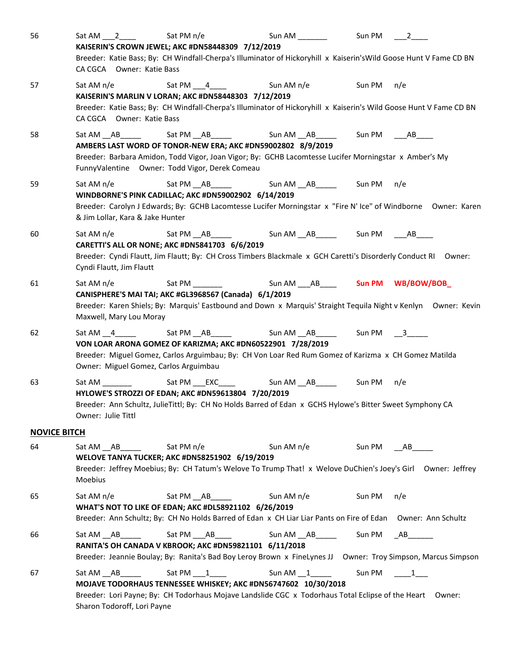| 56                  | Sat AM 2                                         | Sat PM $n/e$                                                                                                                                                                                                                                                                                              |                   | Sun PM | $\overline{\mathbf{2}}$ |
|---------------------|--------------------------------------------------|-----------------------------------------------------------------------------------------------------------------------------------------------------------------------------------------------------------------------------------------------------------------------------------------------------------|-------------------|--------|-------------------------|
|                     | CA CGCA Owner: Katie Bass                        | KAISERIN'S CROWN JEWEL; AKC #DN58448309 7/12/2019<br>Breeder: Katie Bass; By: CH Windfall-Cherpa's Illuminator of Hickoryhill x Kaiserin's Wild Goose Hunt V Fame CD BN                                                                                                                                   |                   |        |                         |
| 57                  | Sat AM n/e                                       | KAISERIN'S MARLIN V LORAN; AKC #DN58448303 7/12/2019                                                                                                                                                                                                                                                      |                   | Sun PM | n/e                     |
|                     | CA CGCA Owner: Katie Bass                        | Breeder: Katie Bass; By: CH Windfall-Cherpa's Illuminator of Hickoryhill x Kaiserin's Wild Goose Hunt V Fame CD BN                                                                                                                                                                                        |                   |        |                         |
| 58                  |                                                  | Sat AM __ AB ______ Sat PM __ AB _____ Sun AM __ AB ______ Sun PM ____ AB _____<br>AMBERS LAST WORD OF TONOR-NEW ERA; AKC #DN59002802 8/9/2019<br>Breeder: Barbara Amidon, Todd Vigor, Joan Vigor; By: GCHB Lacomtesse Lucifer Morningstar x Amber's My<br>FunnyValentine Owner: Todd Vigor, Derek Comeau |                   |        |                         |
| 59                  | Sat AM $n/e$<br>& Jim Lollar, Kara & Jake Hunter | Sat PM __ AB ___ ___ Sun AM __ AB __ ___ Sun PM<br>WINDBORNE'S PINK CADILLAC; AKC #DN59002902 6/14/2019<br>Breeder: Carolyn J Edwards; By: GCHB Lacomtesse Lucifer Morningstar x "Fire N' Ice" of Windborne Owner: Karen                                                                                  |                   |        | n/e                     |
| 60                  | Sat AM n/e<br>Cyndi Flautt, Jim Flautt           | CARETTI'S ALL OR NONE; AKC #DN5841703 6/6/2019<br>Breeder: Cyndi Flautt, Jim Flautt; By: CH Cross Timbers Blackmale x GCH Caretti's Disorderly Conduct RI Owner:                                                                                                                                          |                   |        |                         |
| 61                  | Sat AM n/e<br>Maxwell, Mary Lou Moray            | CANISPHERE'S MAI TAI; AKC #GL3968567 (Canada) 6/1/2019<br>Breeder: Karen Shiels; By: Marquis' Eastbound and Down x Marquis' Straight Tequila Night v Kenlyn Owner: Kevin                                                                                                                                  |                   |        |                         |
| 62                  | Owner: Miguel Gomez, Carlos Arguimbau            | Sat AM __ 4_______    Sat PM __AB_______     Sun AM __AB______   Sun PM   __3_____<br>VON LOAR ARONA GOMEZ OF KARIZMA; AKC #DN60522901 7/28/2019<br>Breeder: Miguel Gomez, Carlos Arguimbau; By: CH Von Loar Red Rum Gomez of Karizma x CH Gomez Matilda                                                  |                   |        |                         |
| 63                  | Owner: Julie Tittl                               | Sat AM _________    Sat PM ___EXC_____     Sun AM __AB_______  Sun PM   n/e<br>HYLOWE'S STROZZI OF EDAN; AKC #DN59613804 7/20/2019<br>Breeder: Ann Schultz, JulieTittl; By: CH No Holds Barred of Edan x GCHS Hylowe's Bitter Sweet Symphony CA                                                           |                   |        |                         |
| <b>NOVICE BITCH</b> |                                                  |                                                                                                                                                                                                                                                                                                           |                   |        |                         |
| 64                  | Sat AM AB<br>Moebius                             | Sat PM n/e<br>WELOVE TANYA TUCKER; AKC #DN58251902 6/19/2019<br>Breeder: Jeffrey Moebius; By: CH Tatum's Welove To Trump That! x Welove DuChien's Joey's Girl Owner: Jeffrey                                                                                                                              | Sun AM n/e        | Sun PM | AB                      |
| 65                  | Sat AM $n/e$                                     | Sat PM AB<br>WHAT'S NOT TO LIKE OF EDAN; AKC #DL58921102 6/26/2019<br>Breeder: Ann Schultz; By: CH No Holds Barred of Edan x CH Liar Liar Pants on Fire of Edan Owner: Ann Schultz                                                                                                                        | Sun AM n/e        | Sun PM | n/e                     |
| 66                  | $SatAM$ $AB$ $\qquad$                            | Sat PM ____ AB ______<br>RANITA'S OH CANADA V KBROOK; AKC #DN59821101 6/11/2018<br>Breeder: Jeannie Boulay; By: Ranita's Bad Boy Leroy Brown x FineLynes JJ Owner: Troy Simpson, Marcus Simpson                                                                                                           | Sun AM __AB______ |        | Sun PM __ AB________    |
| 67                  | Sat AM AB<br>Sharon Todoroff, Lori Payne         | Sat PM 1<br>MOJAVE TODORHAUS TENNESSEE WHISKEY; AKC #DN56747602 10/30/2018<br>Breeder: Lori Payne; By: CH Todorhaus Mojave Landslide CGC x Todorhaus Total Eclipse of the Heart Owner:                                                                                                                    | Sun AM 1          |        | Sun PM 1                |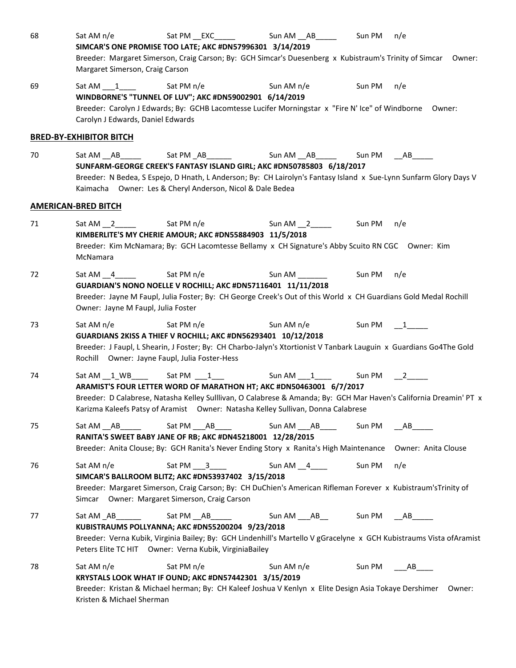| 68 | Sat PM ___ EXC_______<br>Sat AM $n/e$                                                                               | Sun AM __ AB ______   | Sun PM               | n/e                   |  |
|----|---------------------------------------------------------------------------------------------------------------------|-----------------------|----------------------|-----------------------|--|
|    | SIMCAR'S ONE PROMISE TOO LATE; AKC #DN57996301 3/14/2019                                                            |                       |                      |                       |  |
|    | Breeder: Margaret Simerson, Craig Carson; By: GCH Simcar's Duesenberg x Kubistraum's Trinity of Simcar Owner:       |                       |                      |                       |  |
|    | Margaret Simerson, Craig Carson                                                                                     |                       |                      |                       |  |
| 69 | Sat PM n/e<br>Sat AM 1                                                                                              | Sun AM n/e            | Sun PM               | n/e                   |  |
|    | WINDBORNE'S "TUNNEL OF LUV"; AKC #DN59002901 6/14/2019                                                              |                       |                      |                       |  |
|    | Breeder: Carolyn J Edwards; By: GCHB Lacomtesse Lucifer Morningstar x "Fire N' Ice" of Windborne Owner:             |                       |                      |                       |  |
|    | Carolyn J Edwards, Daniel Edwards                                                                                   |                       |                      |                       |  |
|    | <b>BRED-BY-EXHIBITOR BITCH</b>                                                                                      |                       |                      |                       |  |
| 70 | Sat PM _AB_______<br>$SatAM$ $AB$                                                                                   | Sun AM ___ AB _______ |                      | Sun PM ____ AB_______ |  |
|    | SUNFARM-GEORGE CREEK'S FANTASY ISLAND GIRL; AKC #DN50785803 6/18/2017                                               |                       |                      |                       |  |
|    | Breeder: N Bedea, S Espejo, D Hnath, L Anderson; By: CH Lairolyn's Fantasy Island x Sue-Lynn Sunfarm Glory Days V   |                       |                      |                       |  |
|    | Kaimacha Owner: Les & Cheryl Anderson, Nicol & Dale Bedea                                                           |                       |                      |                       |  |
|    | <b>AMERICAN-BRED BITCH</b>                                                                                          |                       |                      |                       |  |
| 71 | Sat PM n/e<br>Sat AM 2                                                                                              | Sun AM $\frac{2}{2}$  | Sun PM n/e           |                       |  |
|    | KIMBERLITE'S MY CHERIE AMOUR; AKC #DN55884903 11/5/2018                                                             |                       |                      |                       |  |
|    | Breeder: Kim McNamara; By: GCH Lacomtesse Bellamy x CH Signature's Abby Scuito RN CGC Owner: Kim                    |                       |                      |                       |  |
|    | McNamara                                                                                                            |                       |                      |                       |  |
| 72 | Sat AM $\_4$<br>Sat PM n/e                                                                                          | Sun AM ____           | Sun PM n/e           |                       |  |
|    | GUARDIAN'S NONO NOELLE V ROCHILL; AKC #DN57116401 11/11/2018                                                        |                       |                      |                       |  |
|    | Breeder: Jayne M Faupl, Julia Foster; By: CH George Creek's Out of this World x CH Guardians Gold Medal Rochill     |                       |                      |                       |  |
|    | Owner: Jayne M Faupl, Julia Foster                                                                                  |                       |                      |                       |  |
| 73 | Sat AM n/e<br>Sat PM $n/e$                                                                                          | Sun AM n/e            | Sun PM 1             |                       |  |
|    | GUARDIANS 2KISS A THIEF V ROCHILL; AKC #DN56293401 10/12/2018                                                       |                       |                      |                       |  |
|    | Breeder: J Faupl, L Shearin, J Foster; By: CH Charbo-Jalyn's Xtortionist V Tanbark Lauguin x Guardians Go4The Gold  |                       |                      |                       |  |
|    | Rochill Owner: Jayne Faupl, Julia Foster-Hess                                                                       |                       |                      |                       |  |
| 74 |                                                                                                                     | Sun AM $1$            | Sun PM $\frac{2}{2}$ |                       |  |
|    | ARAMIST'S FOUR LETTER WORD OF MARATHON HT; AKC #DN50463001 6/7/2017                                                 |                       |                      |                       |  |
|    | Breeder: D Calabrese, Natasha Kelley Sulllivan, O Calabrese & Amanda; By: GCH Mar Haven's California Dreamin' PT x  |                       |                      |                       |  |
|    | Karizma Kaleefs Patsy of Aramist  Owner: Natasha Kelley Sullivan, Donna Calabrese                                   |                       |                      |                       |  |
| 75 | Sat PM ___ AB ____<br>Sat AM AB                                                                                     | Sun AM ___ AB ____    | Sun PM               | AB                    |  |
|    | RANITA'S SWEET BABY JANE OF RB; AKC #DN45218001 12/28/2015                                                          |                       |                      |                       |  |
|    | Breeder: Anita Clouse; By: GCH Ranita's Never Ending Story x Ranita's High Maintenance Owner: Anita Clouse          |                       |                      |                       |  |
| 76 | Sat AM n/e<br>Sat PM 3                                                                                              | Sun AM $_4$           | Sun PM               | n/e                   |  |
|    | SIMCAR'S BALLROOM BLITZ; AKC #DN53937402 3/15/2018                                                                  |                       |                      |                       |  |
|    | Breeder: Margaret Simerson, Craig Carson; By: CH DuChien's American Rifleman Forever x Kubistraum'sTrinity of       |                       |                      |                       |  |
|    | Simcar Owner: Margaret Simerson, Craig Carson                                                                       |                       |                      |                       |  |
| 77 | Sat PM __AB______                                                                                                   | Sun AM AB             | Sun PM               | AB                    |  |
|    | KUBISTRAUMS POLLYANNA; AKC #DN55200204 9/23/2018                                                                    |                       |                      |                       |  |
|    | Breeder: Verna Kubik, Virginia Bailey; By: GCH Lindenhill's Martello V gGracelyne x GCH Kubistraums Vista ofAramist |                       |                      |                       |  |
|    | Peters Elite TC HIT Owner: Verna Kubik, VirginiaBailey                                                              |                       |                      |                       |  |
| 78 | Sat PM n/e<br>Sat AM n/e                                                                                            | Sun AM n/e            | Sun PM               | AB                    |  |
|    | KRYSTALS LOOK WHAT IF OUND; AKC #DN57442301 3/15/2019                                                               |                       |                      |                       |  |
|    | Breeder: Kristan & Michael herman; By: CH Kaleef Joshua V Kenlyn x Elite Design Asia Tokaye Dershimer Owner:        |                       |                      |                       |  |
|    | Kristen & Michael Sherman                                                                                           |                       |                      |                       |  |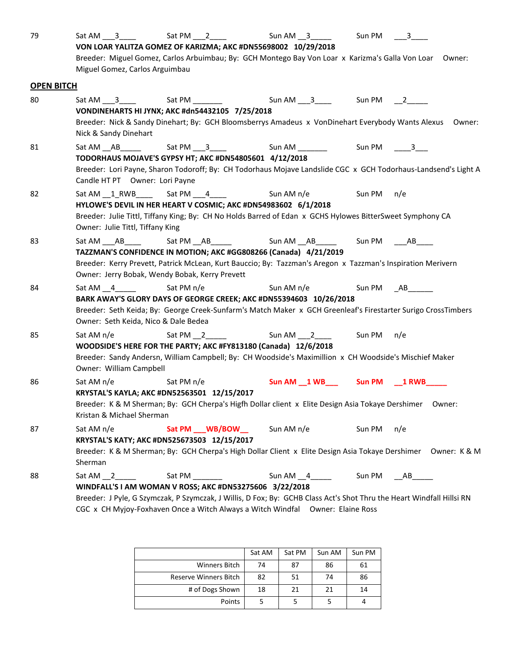| 79                | Sat AM 3                                                                                                                                                | Sat PM 2                                                                                                                                                                         | Sum AM <sub>3</sub>                                 | Sun PM | $\overline{\mathbf{3}}$ |  |  |  |
|-------------------|---------------------------------------------------------------------------------------------------------------------------------------------------------|----------------------------------------------------------------------------------------------------------------------------------------------------------------------------------|-----------------------------------------------------|--------|-------------------------|--|--|--|
|                   |                                                                                                                                                         | VON LOAR YALITZA GOMEZ OF KARIZMA; AKC #DN55698002 10/29/2018                                                                                                                    |                                                     |        |                         |  |  |  |
|                   |                                                                                                                                                         | Breeder: Miguel Gomez, Carlos Arbuimbau; By: GCH Montego Bay Von Loar x Karizma's Galla Von Loar Owner:                                                                          |                                                     |        |                         |  |  |  |
|                   | Miguel Gomez, Carlos Arguimbau                                                                                                                          |                                                                                                                                                                                  |                                                     |        |                         |  |  |  |
| <b>OPEN BITCH</b> |                                                                                                                                                         |                                                                                                                                                                                  |                                                     |        |                         |  |  |  |
| 80                | Sat AM 3                                                                                                                                                |                                                                                                                                                                                  | Sun AM 3 _____ Sun PM ___ 2_____                    |        |                         |  |  |  |
|                   |                                                                                                                                                         | VONDINEHARTS HI JYNX; AKC #dn54432105 7/25/2018                                                                                                                                  |                                                     |        |                         |  |  |  |
|                   |                                                                                                                                                         | Breeder: Nick & Sandy Dinehart; By: GCH Bloomsberrys Amadeus x VonDinehart Everybody Wants Alexus Owner:                                                                         |                                                     |        |                         |  |  |  |
|                   | Nick & Sandy Dinehart                                                                                                                                   |                                                                                                                                                                                  |                                                     |        |                         |  |  |  |
| 81                |                                                                                                                                                         | Sat AM __ AB ______ Sat PM ___ 3_____ Sun AM ________ Sun PM _____3___                                                                                                           |                                                     |        |                         |  |  |  |
|                   |                                                                                                                                                         | TODORHAUS MOJAVE'S GYPSY HT; AKC #DN54805601 4/12/2018                                                                                                                           |                                                     |        |                         |  |  |  |
|                   |                                                                                                                                                         | Breeder: Lori Payne, Sharon Todoroff; By: CH Todorhaus Mojave Landslide CGC x GCH Todorhaus-Landsend's Light A                                                                   |                                                     |        |                         |  |  |  |
|                   | Candle HT PT Owner: Lori Payne                                                                                                                          |                                                                                                                                                                                  |                                                     |        |                         |  |  |  |
| 82                |                                                                                                                                                         |                                                                                                                                                                                  |                                                     | Sun PM | n/e                     |  |  |  |
|                   |                                                                                                                                                         | HYLOWE'S DEVIL IN HER HEART V COSMIC; AKC #DN54983602 6/1/2018                                                                                                                   |                                                     |        |                         |  |  |  |
|                   |                                                                                                                                                         | Breeder: Julie Tittl, Tiffany King; By: CH No Holds Barred of Edan x GCHS Hylowes BitterSweet Symphony CA                                                                        |                                                     |        |                         |  |  |  |
|                   | Owner: Julie Tittl, Tiffany King                                                                                                                        |                                                                                                                                                                                  |                                                     |        |                         |  |  |  |
| 83                |                                                                                                                                                         | Sat AM ____AB______   Sat PM ___AB________     Sun AM ___AB_______  Sun PM  ____AB_____                                                                                          |                                                     |        |                         |  |  |  |
|                   |                                                                                                                                                         | TAZZMAN'S CONFIDENCE IN MOTION; AKC #GG808266 (Canada) 4/21/2019                                                                                                                 |                                                     |        |                         |  |  |  |
|                   |                                                                                                                                                         | Breeder: Kerry Prevett, Patrick McLean, Kurt Bauccio; By: Tazzman's Aregon x Tazzman's Inspiration Merivern                                                                      |                                                     |        |                         |  |  |  |
|                   |                                                                                                                                                         | Owner: Jerry Bobak, Wendy Bobak, Kerry Prevett                                                                                                                                   |                                                     |        |                         |  |  |  |
| 84                | Sat AM 4                                                                                                                                                | Sat PM n/e                                                                                                                                                                       | Sun AM n/e                                          |        | Sun PM __ AB________    |  |  |  |
|                   |                                                                                                                                                         | BARK AWAY'S GLORY DAYS OF GEORGE CREEK; AKC #DN55394603 10/26/2018                                                                                                               |                                                     |        |                         |  |  |  |
|                   |                                                                                                                                                         | Breeder: Seth Keida; By: George Creek-Sunfarm's Match Maker x GCH Greenleaf's Firestarter Surigo CrossTimbers                                                                    |                                                     |        |                         |  |  |  |
|                   | Owner: Seth Keida, Nico & Dale Bedea                                                                                                                    |                                                                                                                                                                                  |                                                     |        |                         |  |  |  |
| 85                | Sat AM n/e                                                                                                                                              | Sat PM $2$                                                                                                                                                                       | Sun AM 2 Sun PM n/e                                 |        |                         |  |  |  |
|                   |                                                                                                                                                         | WOODSIDE'S HERE FOR THE PARTY; AKC #FY813180 (Canada) 12/6/2018                                                                                                                  |                                                     |        |                         |  |  |  |
|                   | Breeder: Sandy Andersn, William Campbell; By: CH Woodside's Maximillion x CH Woodside's Mischief Maker                                                  |                                                                                                                                                                                  |                                                     |        |                         |  |  |  |
|                   | Owner: William Campbell                                                                                                                                 |                                                                                                                                                                                  |                                                     |        |                         |  |  |  |
| 86                | Sat AM n/e                                                                                                                                              | Sat PM n/e                                                                                                                                                                       | Sun AM __ 1 WB__________ Sun PM _______ 1 RWB______ |        |                         |  |  |  |
|                   | KRYSTAL'S KAYLA; AKC #DN52563501 12/15/2017<br>Breeder: K & M Sherman; By: GCH Cherpa's Higfh Dollar client x Elite Design Asia Tokaye Dershimer Owner: |                                                                                                                                                                                  |                                                     |        |                         |  |  |  |
|                   |                                                                                                                                                         |                                                                                                                                                                                  |                                                     |        |                         |  |  |  |
|                   | Kristan & Michael Sherman                                                                                                                               |                                                                                                                                                                                  |                                                     |        |                         |  |  |  |
| 87                | Sat AM n/e                                                                                                                                              | Sat PM ___ WB/BOW __                                                                                                                                                             | Sun AM n/e                                          | Sun PM | n/e                     |  |  |  |
|                   |                                                                                                                                                         | KRYSTAL'S KATY; AKC #DN525673503 12/15/2017                                                                                                                                      |                                                     |        |                         |  |  |  |
|                   | Sherman                                                                                                                                                 | Breeder: K & M Sherman; By: GCH Cherpa's High Dollar Client x Elite Design Asia Tokaye Dershimer Owner: K & M                                                                    |                                                     |        |                         |  |  |  |
|                   |                                                                                                                                                         |                                                                                                                                                                                  |                                                     |        |                         |  |  |  |
| 88                | Sat AM 2                                                                                                                                                | Sat PM                                                                                                                                                                           | Sun AM $\_4$ _______                                | Sun PM | AB                      |  |  |  |
|                   |                                                                                                                                                         | WINDFALL'S I AM WOMAN V ROSS; AKC #DN53275606 3/22/2018<br>Breeder: J Pyle, G Szymczak, P Szymczak, J Willis, D Fox; By: GCHB Class Act's Shot Thru the Heart Windfall Hillsi RN |                                                     |        |                         |  |  |  |
|                   |                                                                                                                                                         | CGC x CH Myjoy-Foxhaven Once a Witch Always a Witch Windfal Owner: Elaine Ross                                                                                                   |                                                     |        |                         |  |  |  |
|                   |                                                                                                                                                         |                                                                                                                                                                                  |                                                     |        |                         |  |  |  |

|                       | Sat AM | Sat PM | Sun AM | Sun PM |
|-----------------------|--------|--------|--------|--------|
| <b>Winners Bitch</b>  | 74     | 87     | 86     | 61     |
| Reserve Winners Bitch | 82     | 51     | 74     | 86     |
| # of Dogs Shown       | 18     | 21     | 21     | 14     |
| Points                |        |        |        |        |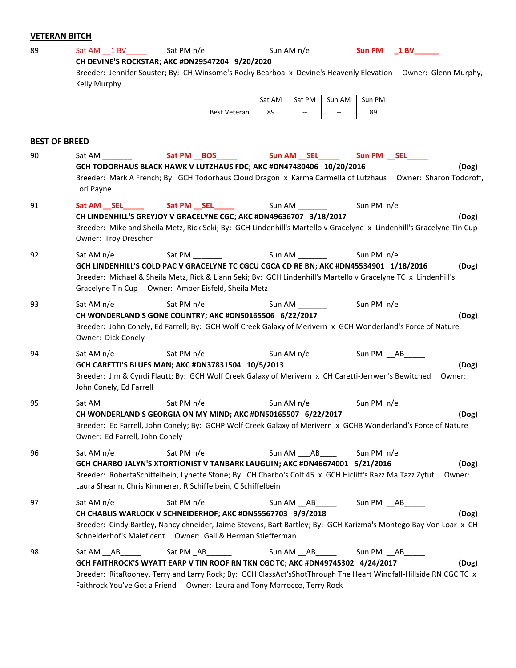## **VETERAN BITCH**

| 89 |                                          | Sat AM 1 BV Sat PM n/e                                                                                                                                                                                                                                                    | Sun AM n/e            |                    | Sun PM 1 BV     |
|----|------------------------------------------|---------------------------------------------------------------------------------------------------------------------------------------------------------------------------------------------------------------------------------------------------------------------------|-----------------------|--------------------|-----------------|
|    | Kelly Murphy                             | CH DEVINE'S ROCKSTAR; AKC #DN29547204 9/20/2020<br>Breeder: Jennifer Souster; By: CH Winsome's Rocky Bearboa x Devine's Heavenly Elevation Owner: Glenn Murphy,                                                                                                           |                       |                    |                 |
|    |                                          |                                                                                                                                                                                                                                                                           | Sat AM<br>Sat PM      | Sun AM<br>Sun PM   |                 |
|    |                                          | <b>Best Veteran</b>                                                                                                                                                                                                                                                       | 89<br>цú.             | 89<br>$\mathbf{u}$ |                 |
|    |                                          |                                                                                                                                                                                                                                                                           |                       |                    |                 |
|    | <b>BEST OF BREED</b>                     |                                                                                                                                                                                                                                                                           |                       |                    |                 |
| 90 | Sat AM                                   | Sat PM BOS<br>GCH TODORHAUS BLACK HAWK V LUTZHAUS FDC; AKC #DN47480406 10/20/2016                                                                                                                                                                                         | Sun AM ___ SEL_______ | Sun PM SEL         | (Dog)           |
|    | Lori Payne                               | Breeder: Mark A French; By: GCH Todorhaus Cloud Dragon x Karma Carmella of Lutzhaus Owner: Sharon Todoroff,                                                                                                                                                               |                       |                    |                 |
| 91 |                                          | Sat AM __ SEL ______________ Sat PM __ SEL _______                                                                                                                                                                                                                        | Sun AM _________      | Sun PM n/e         |                 |
|    | Owner: Troy Drescher                     | CH LINDENHILL'S GREYJOY V GRACELYNE CGC; AKC #DN49636707 3/18/2017<br>Breeder: Mike and Sheila Metz, Rick Seki; By: GCH Lindenhill's Martello v Gracelyne x Lindenhill's Gracelyne Tin Cup                                                                                |                       |                    | (Dog)           |
| 92 | Sat AM n/e                               | Sat PM<br>GCH LINDENHILL'S COLD PAC V GRACELYNE TC CGCU CGCA CD RE BN; AKC #DN45534901 1/18/2016<br>Breeder: Michael & Sheila Metz, Rick & Liann Seki; By: GCH Lindenhill's Martello v Gracelyne TC x Lindenhill's<br>Gracelyne Tin Cup Owner: Amber Eisfeld, Sheila Metz | Sun AM <u>sunners</u> | Sun PM n/e         | (Dog)           |
| 93 | Sat AM n/e                               | Sat PM n/e<br>CH WONDERLAND'S GONE COUNTRY; AKC #DN50165506 6/22/2017<br>Breeder: John Conely, Ed Farrell; By: GCH Wolf Creek Galaxy of Merivern x GCH Wonderland's Force of Nature                                                                                       | Sun AM <b>Sun AM</b>  | Sun PM n/e         | (Dog)           |
|    | Owner: Dick Conely                       |                                                                                                                                                                                                                                                                           |                       |                    |                 |
| 94 | Sat AM n/e<br>John Conely, Ed Farrell    | Sat PM n/e<br>GCH CARETTI'S BLUES MAN; AKC #DN37831504 10/5/2013<br>Breeder: Jim & Cyndi Flautt; By: GCH Wolf Creek Galaxy of Merivern x CH Caretti-Jerrwen's Bewitched                                                                                                   | Sun AM n/e            | Sun PM AB          | (Dog)<br>Owner: |
| 95 | Sat AM<br>Owner: Ed Farrell, John Conely | Sat PM n/e<br>CH WONDERLAND'S GEORGIA ON MY MIND; AKC #DN50165507 6/22/2017<br>Breeder: Ed Farrell, John Conely; By: GCHP Wolf Creek Galaxy of Merivern x GCHB Wonderland's Force of Nature                                                                               | Sun AM n/e            | Sun PM n/e         | (Dog)           |
| 96 | Sat AM n/e                               | Sat PM n/e                                                                                                                                                                                                                                                                | Sun AM<br>AB          | Sun PM n/e         |                 |

**GCH CHARBO JALYN'S XTORTIONIST V TANBARK LAUGUIN; AKC #DN46674001 5/21/2016 (Dog)** Breeder: RobertaSchiffelbein, Lynette Stone; By: CH Charbo's Colt 45 x GCH Hicliff's Razz Ma Tazz Zytut Owner: Laura Shearin, Chris Kimmerer, R Schiffelbein, C Schiffelbein 97 Sat AM n/e Sat PM n/e Sat PM n/e Sun AM \_\_AB\_\_\_\_\_ Sun PM \_\_AB\_ **CH CHABLIS WARLOCK V SCHNEIDERHOF; AKC #DN55567703 9/9/2018 (Dog)**

Breeder: Cindy Bartley, Nancy chneider, Jaime Stevens, Bart Bartley; By: GCH Karizma's Montego Bay Von Loar x CH

Schneiderhof's Maleficent Owner: Gail & Herman Stiefferman 98 Sat AM \_\_AB \_\_\_\_ Sat PM \_\_AB\_\_\_\_\_\_ Sun AM \_\_\_AB\_\_\_\_\_ Sun PM \_\_\_AB\_\_\_\_ **GCH FAITHROCK'S WYATT EARP V TIN ROOF RN TKN CGC TC; AKC #DN49745302 4/24/2017 (Dog)** Breeder: RitaRooney, Terry and Larry Rock; By: GCH ClassAct'sShotThrough The Heart Windfall-Hillside RN CGC TC x Faithrock You've Got a Friend Owner: Laura and Tony Marrocco, Terry Rock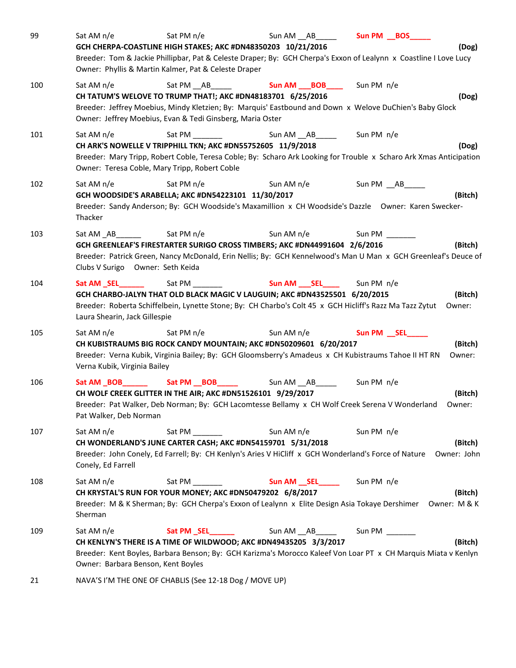| 99  | Sat AM n/e                                       | Sat PM n/e                                                                                                   | Sun AM AB                                                                                                                                                                                                        | Sun PM __BOS_____    |                         |
|-----|--------------------------------------------------|--------------------------------------------------------------------------------------------------------------|------------------------------------------------------------------------------------------------------------------------------------------------------------------------------------------------------------------|----------------------|-------------------------|
|     |                                                  | Owner: Phyllis & Martin Kalmer, Pat & Celeste Draper                                                         | GCH CHERPA-COASTLINE HIGH STAKES; AKC #DN48350203 10/21/2016<br>Breeder: Tom & Jackie Phillipbar, Pat & Celeste Draper; By: GCH Cherpa's Exxon of Lealynn x Coastline I Love Lucy                                |                      | (Dog)                   |
| 100 | Sat AM $n/e$                                     | Owner: Jeffrey Moebius, Evan & Tedi Ginsberg, Maria Oster                                                    | Sat PM AB <b>Sun AM BOB</b> Sun PM n/e<br>CH TATUM'S WELOVE TO TRUMP THAT!; AKC #DN48183701 6/25/2016<br>Breeder: Jeffrey Moebius, Mindy Kletzien; By: Marquis' Eastbound and Down x Welove DuChien's Baby Glock |                      | (Dog)                   |
| 101 | Sat AM n/e                                       | CH ARK'S NOWELLE V TRIPPHILL TKN; AKC #DN55752605 11/9/2018<br>Owner: Teresa Coble, Mary Tripp, Robert Coble | Sat PM Sun AM __ AB_____________ Sun PM n/e<br>Breeder: Mary Tripp, Robert Coble, Teresa Coble; By: Scharo Ark Looking for Trouble x Scharo Ark Xmas Anticipation                                                |                      | (Dog)                   |
| 102 | Sat AM n/e<br>Thacker                            | Sat PM n/e<br>GCH WOODSIDE'S ARABELLA; AKC #DN54223101 11/30/2017                                            | Sun AM n/e<br>Breeder: Sandy Anderson; By: GCH Woodside's Maxamillion x CH Woodside's Dazzle Owner: Karen Swecker-                                                                                               | Sun PM __ AB______   | (Bitch)                 |
| 103 | Clubs V Surigo Owner: Seth Keida                 | Sat PM n/e                                                                                                   | Sun AM n/e<br>GCH GREENLEAF'S FIRESTARTER SURIGO CROSS TIMBERS; AKC #DN44991604 2/6/2016<br>Breeder: Patrick Green, Nancy McDonald, Erin Nellis; By: GCH Kennelwood's Man U Man x GCH Greenleaf's Deuce of       | Sun PM $\frac{1}{2}$ | (Bitch)                 |
| 104 | Sat AM SEL<br>Laura Shearin, Jack Gillespie      |                                                                                                              | GCH CHARBO-JALYN THAT OLD BLACK MAGIC V LAUGUIN; AKC #DN43525501 6/20/2015<br>Breeder: Roberta Schiffelbein, Lynette Stone; By: CH Charbo's Colt 45 x GCH Hicliff's Razz Ma Tazz Zytut                           |                      | (Bitch)<br>Owner:       |
| 105 | Sat AM n/e<br>Verna Kubik, Virginia Bailey       | Sat PM n/e                                                                                                   | Sun AM n/e<br>CH KUBISTRAUMS BIG ROCK CANDY MOUNTAIN; AKC #DN50209601 6/20/2017<br>Breeder: Verna Kubik, Virginia Bailey; By: GCH Gloomsberry's Amadeus x CH Kubistraums Tahoe II HT RN                          | Sun PM __ SEL____    | (Bitch)<br>Owner:       |
| 106 | Pat Walker, Deb Norman                           | CH WOLF CREEK GLITTER IN THE AIR; AKC #DN51526101 9/29/2017                                                  | Breeder: Pat Walker, Deb Norman; By: GCH Lacomtesse Bellamy x CH Wolf Creek Serena V Wonderland                                                                                                                  |                      | (Bitch)<br>Owner:       |
| 107 | Sat AM n/e<br>Conely, Ed Farrell                 | Sat PM ______                                                                                                | Sun AM n/e<br>CH WONDERLAND'S JUNE CARTER CASH; AKC #DN54159701 5/31/2018<br>Breeder: John Conely, Ed Farrell; By: CH Kenlyn's Aries V HiCliff x GCH Wonderland's Force of Nature                                | Sun PM n/e           | (Bitch)<br>Owner: John  |
| 108 | Sat AM n/e<br>Sherman                            | Sat PM<br>CH KRYSTAL'S RUN FOR YOUR MONEY; AKC #DN50479202 6/8/2017                                          | Breeder: M & K Sherman; By: GCH Cherpa's Exxon of Lealynn x Elite Design Asia Tokaye Dershimer                                                                                                                   |                      | (Bitch)<br>Owner: M & K |
| 109 | Sat AM n/e<br>Owner: Barbara Benson, Kent Boyles |                                                                                                              | Sun AM __ AB ______<br>CH KENLYN'S THERE IS A TIME OF WILDWOOD; AKC #DN49435205 3/3/2017<br>Breeder: Kent Boyles, Barbara Benson; By: GCH Karizma's Morocco Kaleef Von Loar PT x CH Marquis Miata v Kenlyn       | Sun PM               | (Bitch)                 |
| 21  |                                                  | NAVA'S I'M THE ONE OF CHABLIS (See 12-18 Dog / MOVE UP)                                                      |                                                                                                                                                                                                                  |                      |                         |